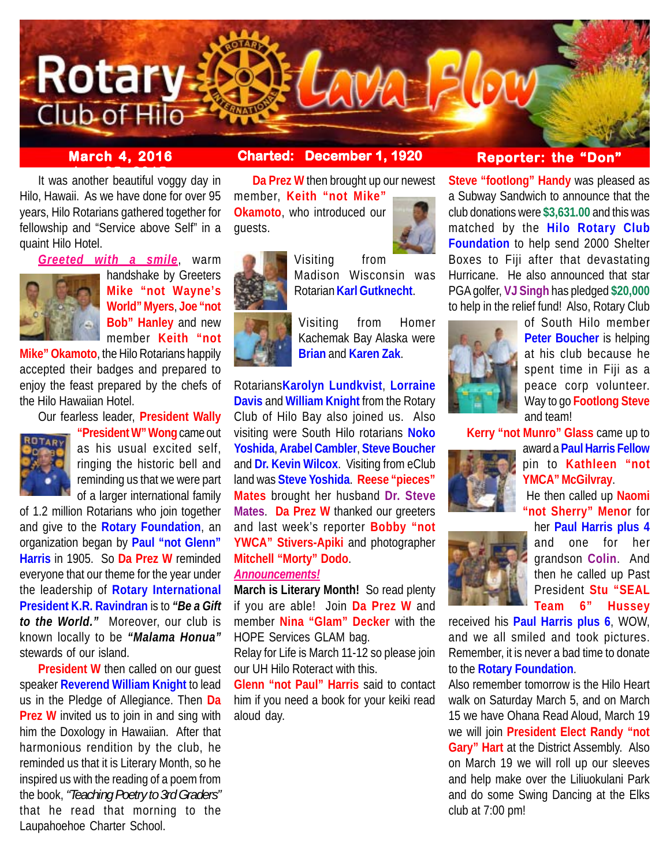

## **March 4, 2016 Charted: December 1, 1920**

**It was another beautiful voggy day in** Hilo, Hawaii. As we have done for over 95 years, Hilo Rotarians gathered together for fellowship and "Service above Self" in a quaint Hilo Hotel.

*Greeted with a smile*, warm



handshake by Greeters **Mike "not Wayne's World" Myers**, **Joe "not Bob" Hanley** and new member **Keith "not**

**Mike" Okamoto**, the Hilo Rotarians happily accepted their badges and prepared to enjoy the feast prepared by the chefs of the Hilo Hawaiian Hotel.

Our fearless leader, **President Wally**



**"President W" Wong** came out as his usual excited self, ringing the historic bell and reminding us that we were part of a larger international family

of 1.2 million Rotarians who join together and give to the **Rotary Foundation**, an organization began by **Paul "not Glenn" Harris** in 1905. So **Da Prez W** reminded everyone that our theme for the year under the leadership of **Rotary International President K.R. Ravindran** is to *"Be a Gift to the World."* Moreover, our club is known locally to be *"Malama Honua"* stewards of our island.

**President W** then called on our quest speaker **Reverend William Knight** to lead us in the Pledge of Allegiance. Then **Da Prez W** invited us to join in and sing with him the Doxology in Hawaiian. After that harmonious rendition by the club, he reminded us that it is Literary Month, so he inspired us with the reading of a poem from the book, *"Teaching Poetry to 3rd Graders"* that he read that morning to the Laupahoehoe Charter School.

**Da Prez W** then brought up our newest member, **Keith "not Mike" Okamoto**, who introduced our guests.



Visiting from Madison Wisconsin was Rotarian **Karl Gutknecht**.

Visiting from Homer Kachemak Bay Alaska were **Brian** and **Karen Zak**.

Rotarians**Karolyn Lundkvist**, **Lorraine Davis** and **William Knight** from the Rotary Club of Hilo Bay also joined us. Also visiting were South Hilo rotarians **Noko Yoshida**, **Arabel Cambler**, **Steve Boucher** and **Dr. Kevin Wilcox**. Visiting from eClub land was **Steve Yoshida**. **Reese "pieces" Mates** brought her husband **Dr. Steve Mates**. **Da Prez W** thanked our greeters and last week's reporter **Bobby "not YWCA" Stivers-Apiki** and photographer **Mitchell "Morty" Dodo**.

## *Announcements!*

**March is Literary Month!** So read plenty if you are able! Join **Da Prez W** and member **Nina "Glam" Decker** with the HOPE Services GLAM bag.

Relay for Life is March 11-12 so please join our UH Hilo Roteract with this.

**Glenn "not Paul" Harris** said to contact him if you need a book for your keiki read aloud day.

# **Reporter: the "Don"**

**Steve "footlong" Handy** was pleased as a Subway Sandwich to announce that the club donations were **\$3,631.00** and this was matched by the **Hilo Rotary Club Foundation** to help send 2000 Shelter Boxes to Fiji after that devastating Hurricane. He also announced that star PGA golfer, **VJ Singh** has pledged **\$20,000** to help in the relief fund! Also, Rotary Club



of South Hilo member **Peter Boucher** is helping at his club because he spent time in Fiji as a peace corp volunteer. Way to go **Footlong Steve** and team!

**Kerry "not Munro" Glass** came up to



award a **Paul Harris Fellow** pin to **Kathleen "not YMCA" McGilvray**.

 He then called up **Naomi "not Sherry" Meno**r for her **Paul Harris plus 4**



and one for her grandson **Colin**. And then he called up Past President **Stu "SEAL Team 6" Hussey**

received his **Paul Harris plus 6**, WOW, and we all smiled and took pictures. Remember, it is never a bad time to donate to the **Rotary Foundation**.

Also remember tomorrow is the Hilo Heart walk on Saturday March 5, and on March 15 we have Ohana Read Aloud, March 19 we will join **President Elect Randy "not Gary" Hart** at the District Assembly. Also on March 19 we will roll up our sleeves and help make over the Liliuokulani Park and do some Swing Dancing at the Elks club at 7:00 pm!